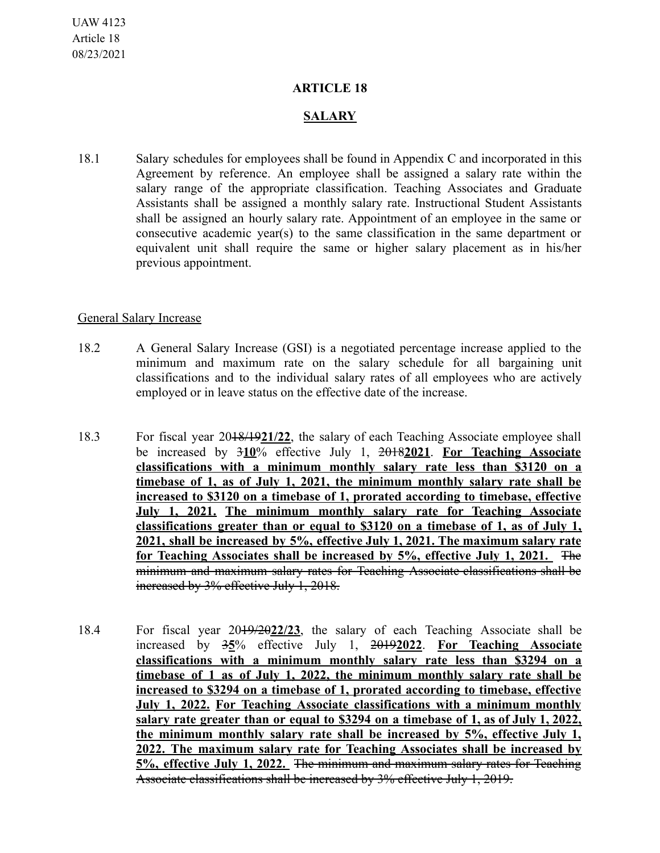## **ARTICLE 18**

## **SALARY**

18.1 Salary schedules for employees shall be found in Appendix C and incorporated in this Agreement by reference. An employee shall be assigned a salary rate within the salary range of the appropriate classification. Teaching Associates and Graduate Assistants shall be assigned a monthly salary rate. Instructional Student Assistants shall be assigned an hourly salary rate. Appointment of an employee in the same or consecutive academic year(s) to the same classification in the same department or equivalent unit shall require the same or higher salary placement as in his/her previous appointment.

## General Salary Increase

- 18.2 A General Salary Increase (GSI) is a negotiated percentage increase applied to the minimum and maximum rate on the salary schedule for all bargaining unit classifications and to the individual salary rates of all employees who are actively employed or in leave status on the effective date of the increase.
- 18.3 For fiscal year 2018/19**21/22**, the salary of each Teaching Associate employee shall be increased by 3**10**% effective July 1, 2018**2021**. **For Teaching Associate classifications with a minimum monthly salary rate less than \$3120 on a timebase of 1, as of July 1, 2021, the minimum monthly salary rate shall be increased to \$3120 on a timebase of 1, prorated according to timebase, effective July 1, 2021. The minimum monthly salary rate for Teaching Associate classifications greater than or equal to \$3120 on a timebase of 1, as of July 1, 2021, shall be increased by 5%, effective July 1, 2021. The maximum salary rate for Teaching Associates shall be increased by 5%, effective July 1, 2021.** The minimum and maximum salary rates for Teaching Associate classifications shall be increased by 3% effective July 1, 2018.
- 18.4 For fiscal year 2019/20**22/23**, the salary of each Teaching Associate shall be increased by 3**5**% effective July 1, 2019**2022**. **For Teaching Associate classifications with a minimum monthly salary rate less than \$3294 on a timebase of 1 as of July 1, 2022, the minimum monthly salary rate shall be increased to \$3294 on a timebase of 1, prorated according to timebase, effective July 1, 2022. For Teaching Associate classifications with a minimum monthly salary rate greater than or equal to \$3294 on a timebase of 1, as of July 1, 2022, the minimum monthly salary rate shall be increased by 5%, effective July 1, 2022. The maximum salary rate for Teaching Associates shall be increased by 5%, effective July 1, 2022.** The minimum and maximum salary rates for Teaching Associate classifications shall be increased by 3% effective July 1, 2019.